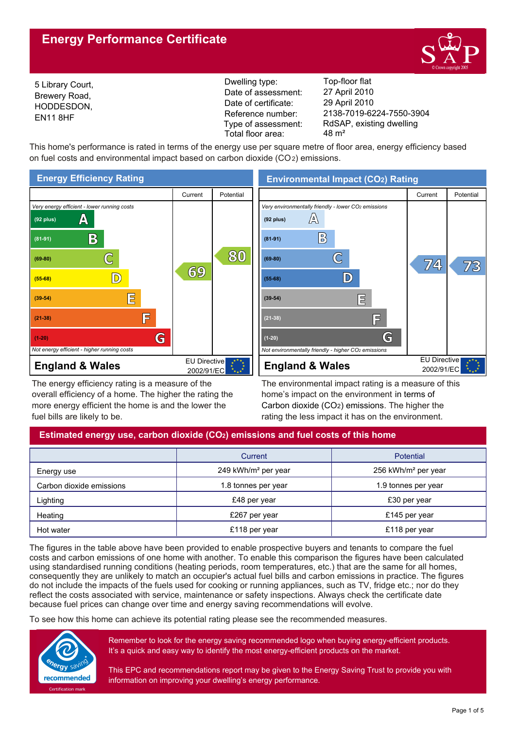# **Energy Performance Certificate**



5 Library Court, Brewery Road, HODDESDON, EN11 8HF

Reference number: Dwelling type: Top-floor flat Date of certificate: Date of assessment: Type of assessment: Total floor area: 48 m<sup>2</sup>

2138-7019-6224-7550-3904 29 April 2010 27 April 2010 RdSAP, existing dwelling

This home's performance is rated in terms of the energy use per square metre of floor area, energy efficiency based on fuel costs and environmental impact based on carbon dioxide (CO2) emissions.



The energy efficiency rating is a measure of the overall efficiency of a home. The higher the rating the more energy efficient the home is and the lower the fuel bills are likely to be.

**Environmental Impact (CO2) Rating**



The environmental impact rating is a measure of this home's impact on the environment in terms of Carbon dioxide (CO2) emissions. The higher the rating the less impact it has on the environment.

# **Estimated energy use, carbon dioxide (CO2) emissions and fuel costs of this home**

|                          | Current                         | <b>Potential</b>                |
|--------------------------|---------------------------------|---------------------------------|
| Energy use               | 249 kWh/m <sup>2</sup> per year | 256 kWh/m <sup>2</sup> per year |
| Carbon dioxide emissions | 1.8 tonnes per year             | 1.9 tonnes per year             |
| Lighting                 | £48 per year                    | £30 per year                    |
| Heating                  | £267 per year                   | £145 per year                   |
| Hot water                | £118 per year                   | £118 per year                   |

The figures in the table above have been provided to enable prospective buyers and tenants to compare the fuel costs and carbon emissions of one home with another. To enable this comparison the figures have been calculated using standardised running conditions (heating periods, room temperatures, etc.) that are the same for all homes, consequently they are unlikely to match an occupier's actual fuel bills and carbon emissions in practice. The figures do not include the impacts of the fuels used for cooking or running appliances, such as TV, fridge etc.; nor do they reflect the costs associated with service, maintenance or safety inspections. Always check the certificate date because fuel prices can change over time and energy saving recommendations will evolve.

To see how this home can achieve its potential rating please see the recommended measures.



Remember to look for the energy saving recommended logo when buying energy-efficient products. It's a quick and easy way to identify the most energy-efficient products on the market.

This EPC and recommendations report may be given to the Energy Saving Trust to provide you with information on improving your dwelling's energy performance.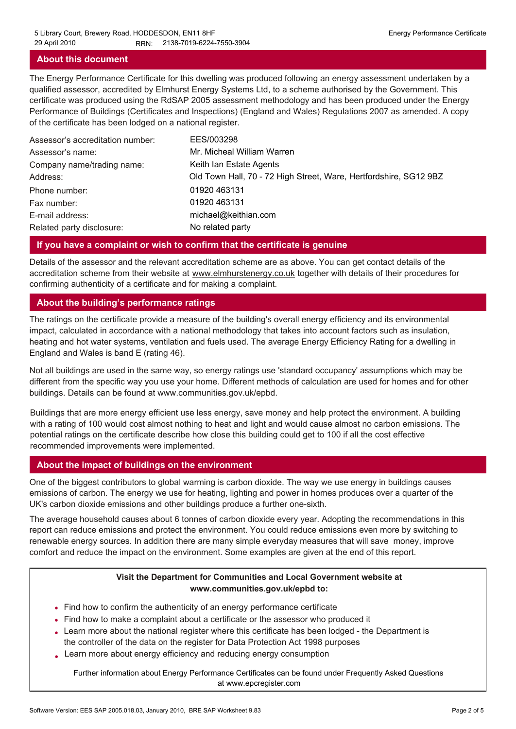# **About this document**

The Energy Performance Certificate for this dwelling was produced following an energy assessment undertaken by a qualified assessor, accredited by Elmhurst Energy Systems Ltd, to a scheme authorised by the Government. This certificate was produced using the RdSAP 2005 assessment methodology and has been produced under the Energy Performance of Buildings (Certificates and Inspections) (England and Wales) Regulations 2007 as amended. A copy of the certificate has been lodged on a national register.

| Assessor's accreditation number: | EES/003298                                                        |
|----------------------------------|-------------------------------------------------------------------|
| Assessor's name:                 | Mr. Micheal William Warren                                        |
| Company name/trading name:       | Keith Ian Estate Agents                                           |
| Address:                         | Old Town Hall, 70 - 72 High Street, Ware, Hertfordshire, SG12 9BZ |
| Phone number:                    | 01920 463131                                                      |
| Fax number:                      | 01920 463131                                                      |
| E-mail address:                  | michael@keithian.com                                              |
| Related party disclosure:        | No related party                                                  |

# **If you have a complaint or wish to confirm that the certificate is genuine**

Details of the assessor and the relevant accreditation scheme are as above. You can get contact details of the accreditation scheme from their website at www.elmhurstenergy.co.uk together with details of their procedures for confirming authenticity of a certificate and for making a complaint.

### **About the building's performance ratings**

The ratings on the certificate provide a measure of the building's overall energy efficiency and its environmental impact, calculated in accordance with a national methodology that takes into account factors such as insulation, heating and hot water systems, ventilation and fuels used. The average Energy Efficiency Rating for a dwelling in England and Wales is band E (rating 46).

Not all buildings are used in the same way, so energy ratings use 'standard occupancy' assumptions which may be different from the specific way you use your home. Different methods of calculation are used for homes and for other buildings. Details can be found at www.communities.gov.uk/epbd.

Buildings that are more energy efficient use less energy, save money and help protect the environment. A building with a rating of 100 would cost almost nothing to heat and light and would cause almost no carbon emissions. The potential ratings on the certificate describe how close this building could get to 100 if all the cost effective recommended improvements were implemented.

# **About the impact of buildings on the environment**

One of the biggest contributors to global warming is carbon dioxide. The way we use energy in buildings causes emissions of carbon. The energy we use for heating, lighting and power in homes produces over a quarter of the UK's carbon dioxide emissions and other buildings produce a further one-sixth.

The average household causes about 6 tonnes of carbon dioxide every year. Adopting the recommendations in this report can reduce emissions and protect the environment. You could reduce emissions even more by switching to renewable energy sources. In addition there are many simple everyday measures that will save money, improve comfort and reduce the impact on the environment. Some examples are given at the end of this report.

# **Visit the Department for Communities and Local Government website at www.communities.gov.uk/epbd to:**

- Find how to confirm the authenticity of an energy performance certificate •
- Find how to make a complaint about a certificate or the assessor who produced it •
- Learn more about the national register where this certificate has been lodged the Department is the controller of the data on the register for Data Protection Act 1998 purposes
- Learn more about energy efficiency and reducing energy consumption •

Further information about Energy Performance Certificates can be found under Frequently Asked Questions at www.epcregister.com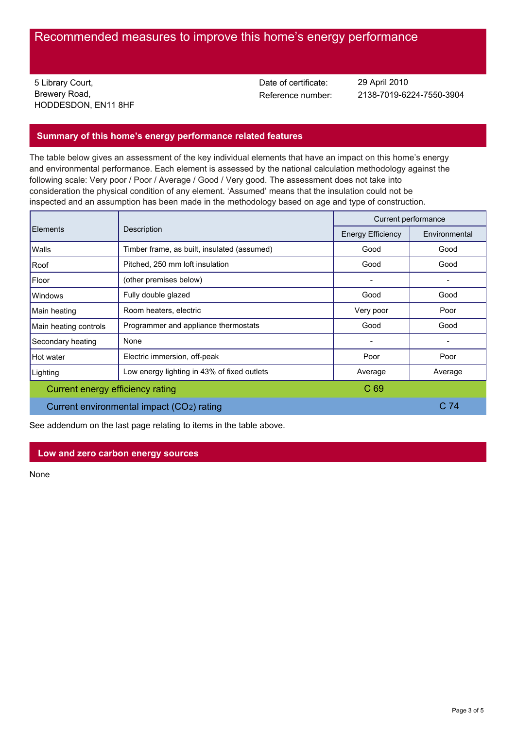# Recommended measures to improve this home's energy performance

5 Library Court, Brewery Road, HODDESDON, EN11 8HF Date of certificate:

Reference number: 2138-7019-6224-7550-3904 29 April 2010

# **Summary of this home's energy performance related features**

The table below gives an assessment of the key individual elements that have an impact on this home's energy and environmental performance. Each element is assessed by the national calculation methodology against the following scale: Very poor / Poor / Average / Good / Very good. The assessment does not take into consideration the physical condition of any element. 'Assumed' means that the insulation could not be inspected and an assumption has been made in the methodology based on age and type of construction.

|                                           | Description                                 |                          | Current performance |  |
|-------------------------------------------|---------------------------------------------|--------------------------|---------------------|--|
| <b>Elements</b>                           |                                             | <b>Energy Efficiency</b> | Environmental       |  |
| Walls                                     | Timber frame, as built, insulated (assumed) | Good                     | Good                |  |
| Roof                                      | Pitched, 250 mm loft insulation             | Good                     | Good                |  |
| Floor                                     | (other premises below)                      | $\overline{\phantom{0}}$ |                     |  |
| <b>Windows</b>                            | Fully double glazed                         | Good                     | Good                |  |
| Main heating                              | Room heaters, electric                      | Very poor                | Poor                |  |
| Main heating controls                     | Programmer and appliance thermostats        | Good                     | Good                |  |
| Secondary heating                         | None                                        |                          |                     |  |
| Hot water                                 | Electric immersion, off-peak                | Poor                     | Poor                |  |
| Lighting                                  | Low energy lighting in 43% of fixed outlets | Average                  | Average             |  |
| Current energy efficiency rating          |                                             | C 69                     |                     |  |
| Current environmental impact (CO2) rating |                                             |                          | C <sub>74</sub>     |  |

See addendum on the last page relating to items in the table above.

# **Low and zero carbon energy sources**

None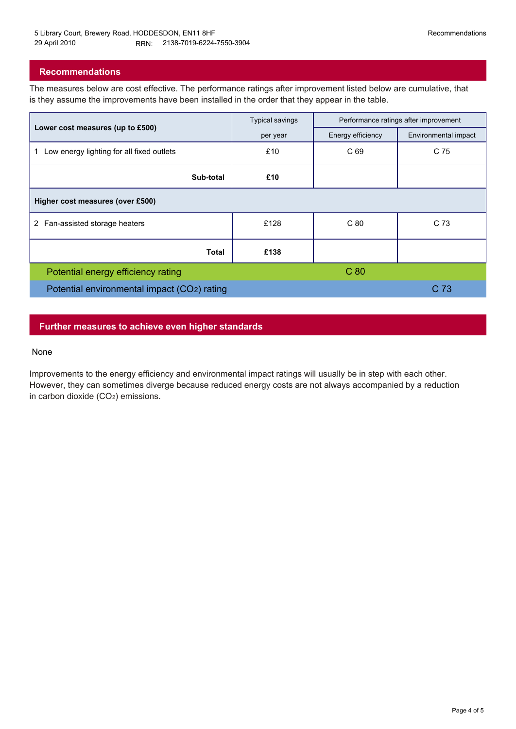# **Recommendations**

The measures below are cost effective. The performance ratings after improvement listed below are cumulative, that is they assume the improvements have been installed in the order that they appear in the table.

|                                                 | <b>Typical savings</b> | Performance ratings after improvement |                      |
|-------------------------------------------------|------------------------|---------------------------------------|----------------------|
| Lower cost measures (up to £500)                | per year               | Energy efficiency                     | Environmental impact |
| Low energy lighting for all fixed outlets<br>1. | £10                    | C 69                                  | C 75                 |
| Sub-total                                       | £10                    |                                       |                      |
| Higher cost measures (over £500)                |                        |                                       |                      |
| 2 Fan-assisted storage heaters                  | £128                   | C80                                   | C 73                 |
| <b>Total</b>                                    | £138                   |                                       |                      |
| Potential energy efficiency rating              |                        | C <sub>80</sub>                       |                      |
| Potential environmental impact (CO2) rating     |                        | C <sub>73</sub>                       |                      |

# **Further measures to achieve even higher standards**

#### None

Improvements to the energy efficiency and environmental impact ratings will usually be in step with each other. However, they can sometimes diverge because reduced energy costs are not always accompanied by a reduction in carbon dioxide (CO2) emissions.